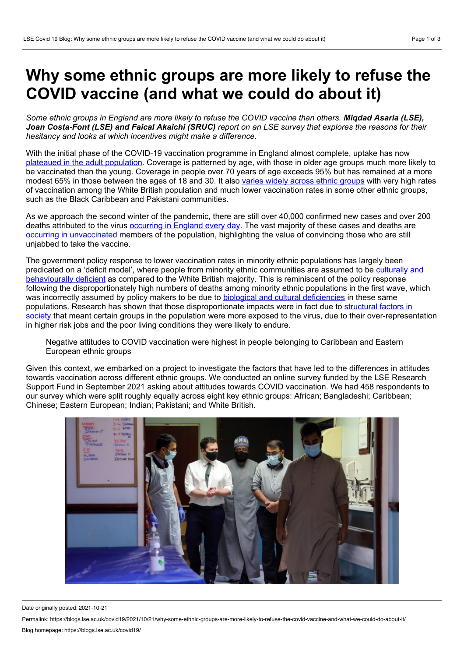## **Why some ethnic groups are more likely to refuse the COVID vaccine (and what we could do about it)**

Some ethnic groups in England are more likely to refuse the COVID vaccine than others. Migdad Asaria (LSE). Joan Costa-Font (LSE) and Faical Akaichi (SRUC) report on an LSE survey that explores the reasons for their *hesitancy and looks at which incentives might make a difference.*

With the initial phase of the COVID-19 vaccination programme in England almost complete, uptake has now plateaued in the adult [population](https://www.bbc.co.uk/news/health-55274833). Coverage is patterned by age, with those in older age groups much more likely to be vaccinated than the young. Coverage in people over 70 years of age exceeds 95% but has remained at a more modest 65% in those between the ages of 18 and 30. It also varies widely across ethnic [groups](https://reports.opensafely.org/reports/vaccine-coverage/#Cumulative-vaccination-figures-among-50-54-population) with very high rates of vaccination among the White British population and much lower vaccination rates in some other ethnic groups, such as the Black Caribbean and Pakistani communities.

As we approach the second winter of the pandemic, there are still over 40,000 confirmed new cases and over 200 deaths attributed to the virus [occurring](https://coronavirus.data.gov.uk/) in England every day. The vast majority of these cases and deaths are occurring in [unvaccinated](https://www.ons.gov.uk/peoplepopulationandcommunity/birthsdeathsandmarriages/deaths/articles/deathsinvolvingcovid19byvaccinationstatusengland/deathsoccurringbetween2januaryand2july2021) members of the population, highlighting the value of convincing those who are still unjabbed to take the vaccine.

The government policy response to lower vaccination rates in minority ethnic populations has largely been predicated on a 'deficit model', where people from minority ethnic communities are assumed to be culturally and [behaviourally](https://www.gov.uk/government/publications/the-report-of-the-commission-on-race-and-ethnic-disparities) deficient as compared to the White British majority. This is reminiscent of the policy response following the disproportionately high numbers of deaths among minority ethnic populations in the first wave, which was incorrectly assumed by policy makers to be due to biological and cultural [deficiencies](https://www.gov.uk/government/publications/covid-19-review-of-disparities-in-risks-and-outcomes) in these same populations. Research has shown that those [disproportionate](https://www.health.org.uk/publications/build-back-fairer-the-covid-19-marmot-review) impacts were in fact due to structural factors in society that meant certain groups in the population were more exposed to the virus, due to their over-representation in higher risk jobs and the poor living conditions they were likely to endure.

Negative attitudes to COVID vaccination were highest in people belonging to Caribbean and Eastern European ethnic groups

Given this context, we embarked on a project to investigate the factors that have led to the differences in attitudes towards vaccination across different ethnic groups. We conducted an online survey funded by the LSE Research Support Fund in September 2021 asking about attitudes towards COVID vaccination. We had 458 respondents to our survey which were split roughly equally across eight key ethnic groups: African; Bangladeshi; Caribbean; Chinese; Eastern European; Indian; Pakistani; and White British.



Date originally posted: 2021-10-21

Permalink: https://blogs.lse.ac.uk/covid19/2021/10/21/why-some-ethnic-groups-are-more-likely-to-refuse-the-covid-vaccine-and-what-we-could-do-about-it/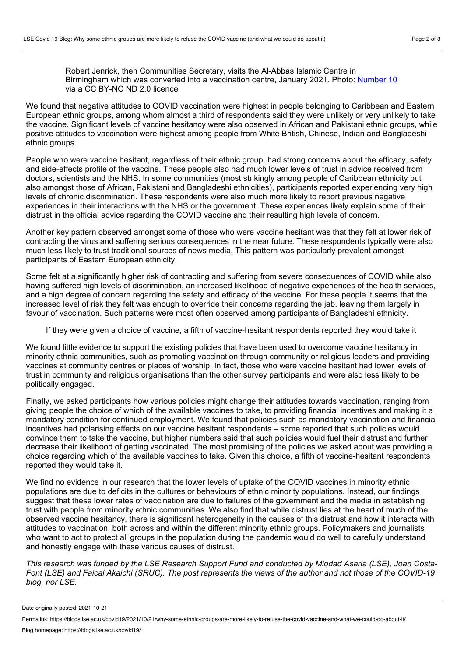Robert Jenrick, then Communities Secretary, visits the Al-Abbas Islamic Centre in Birmingham which was converted into a vaccination centre, January 2021. Photo: [Number](https://flickr.com/photos/number10gov/50865686713/in/photolist-2kuPWwv-2kuPWqo-2kuU7rm-2kuPWky-2kuPWi9-2kuTAHc-2kuTAEr-2kuTAk8-2kuPVZo-2kuTA9S-2kG6mPY-2kAsYcz-2kAskeL-2kAskfc-2kAsYff-2kAskfN-2kAsYdB-2kAskkT-2kAoPFk-2kAoPE3-2kre2fQ-2kre24s-2krabNC-2kracxJ-2krac7y-2kretXP-2kreuDt-2kre2vu-2kHHxNt-2kHMd8M-2kHMdcE-2kYcaPC-2kcBzwq-2m3rNKr-2m3nPbb-2m3nP9Y-2m3rLu4-2m3rExu-2m3rLrU-2kG6nv7-2kGawB9-2kGawtJ-2kYBpnf-2kYxUB6-2kG9VQp-2kF8188-2kYH2TL-2kYxUBB-2kYH2VK-2kKh5tz) 10 via a CC BY-NC ND 2.0 licence

We found that negative attitudes to COVID vaccination were highest in people belonging to Caribbean and Eastern European ethnic groups, among whom almost a third of respondents said they were unlikely or very unlikely to take the vaccine. Significant levels of vaccine hesitancy were also observed in African and Pakistani ethnic groups, while positive attitudes to vaccination were highest among people from White British, Chinese, Indian and Bangladeshi ethnic groups.

People who were vaccine hesitant, regardless of their ethnic group, had strong concerns about the efficacy, safety and side-effects profile of the vaccine. These people also had much lower levels of trust in advice received from doctors, scientists and the NHS. In some communities (most strikingly among people of Caribbean ethnicity but also amongst those of African, Pakistani and Bangladeshi ethnicities), participants reported experiencing very high levels of chronic discrimination. These respondents were also much more likely to report previous negative experiences in their interactions with the NHS or the government. These experiences likely explain some of their distrust in the official advice regarding the COVID vaccine and their resulting high levels of concern.

Another key pattern observed amongst some of those who were vaccine hesitant was that they felt at lower risk of contracting the virus and suffering serious consequences in the near future. These respondents typically were also much less likely to trust traditional sources of news media. This pattern was particularly prevalent amongst participants of Eastern European ethnicity.

Some felt at a significantly higher risk of contracting and suffering from severe consequences of COVID while also having suffered high levels of discrimination, an increased likelihood of negative experiences of the health services, and a high degree of concern regarding the safety and efficacy of the vaccine. For these people it seems that the increased level of risk they felt was enough to override their concerns regarding the jab, leaving them largely in favour of vaccination. Such patterns were most often observed among participants of Bangladeshi ethnicity.

If they were given a choice of vaccine, a fifth of vaccine-hesitant respondents reported they would take it

We found little evidence to support the existing policies that have been used to overcome vaccine hesitancy in minority ethnic communities, such as promoting vaccination through community or religious leaders and providing vaccines at community centres or places of worship. In fact, those who were vaccine hesitant had lower levels of trust in community and religious organisations than the other survey participants and were also less likely to be politically engaged.

Finally, we asked participants how various policies might change their attitudes towards vaccination, ranging from giving people the choice of which of the available vaccines to take, to providing financial incentives and making it a mandatory condition for continued employment. We found that policies such as mandatory vaccination and financial incentives had polarising effects on our vaccine hesitant respondents – some reported that such policies would convince them to take the vaccine, but higher numbers said that such policies would fuel their distrust and further decrease their likelihood of getting vaccinated. The most promising of the policies we asked about was providing a choice regarding which of the available vaccines to take. Given this choice, a fifth of vaccine-hesitant respondents reported they would take it.

We find no evidence in our research that the lower levels of uptake of the COVID vaccines in minority ethnic populations are due to deficits in the cultures or behaviours of ethnic minority populations. Instead, our findings suggest that these lower rates of vaccination are due to failures of the government and the media in establishing trust with people from minority ethnic communities. We also find that while distrust lies at the heart of much of the observed vaccine hesitancy, there is significant heterogeneity in the causes of this distrust and how it interacts with attitudes to vaccination, both across and within the different minority ethnic groups. Policymakers and journalists who want to act to protect all groups in the population during the pandemic would do well to carefully understand and honestly engage with these various causes of distrust.

This research was funded by the LSE Research Support Fund and conducted by Migdad Asaria (LSE), Joan Costa-Font (LSE) and Faical Akaichi (SRUC). The post represents the views of the author and not those of the COVID-19 *blog, nor LSE.*

Date originally posted: 2021-10-21

Permalink: https://blogs.lse.ac.uk/covid19/2021/10/21/why-some-ethnic-groups-are-more-likely-to-refuse-the-covid-vaccine-and-what-we-could-do-about-it/